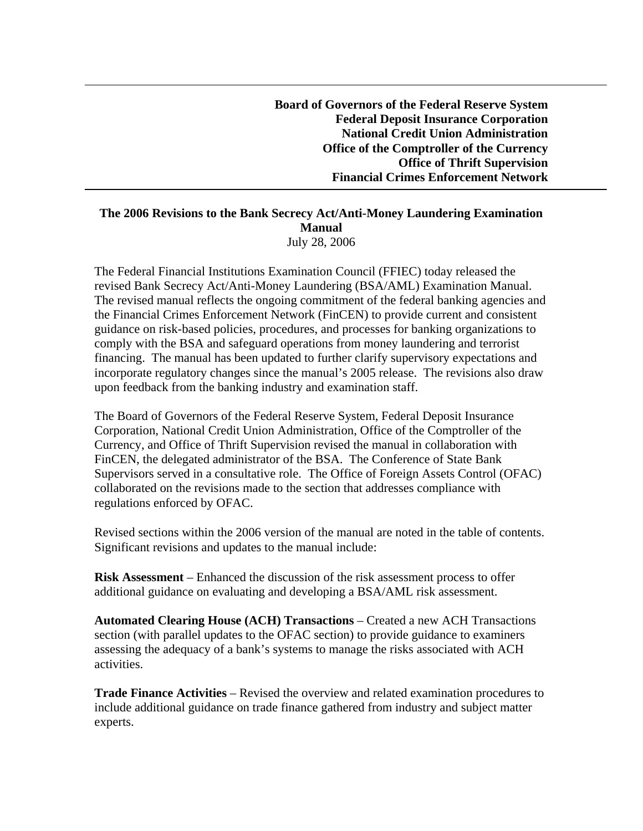**Board of Governors of the Federal Reserve System Federal Deposit Insurance Corporation National Credit Union Administration Office of the Comptroller of the Currency Office of Thrift Supervision Financial Crimes Enforcement Network** 

## **The 2006 Revisions to the Bank Secrecy Act/Anti-Money Laundering Examination Manual**  July 28, 2006

The Federal Financial Institutions Examination Council (FFIEC) today released the revised Bank Secrecy Act/Anti-Money Laundering (BSA/AML) Examination Manual. The revised manual reflects the ongoing commitment of the federal banking agencies and the Financial Crimes Enforcement Network (FinCEN) to provide current and consistent guidance on risk-based policies, procedures, and processes for banking organizations to comply with the BSA and safeguard operations from money laundering and terrorist financing. The manual has been updated to further clarify supervisory expectations and incorporate regulatory changes since the manual's 2005 release. The revisions also draw upon feedback from the banking industry and examination staff.

The Board of Governors of the Federal Reserve System, Federal Deposit Insurance Corporation, National Credit Union Administration, Office of the Comptroller of the Currency, and Office of Thrift Supervision revised the manual in collaboration with FinCEN, the delegated administrator of the BSA. The Conference of State Bank Supervisors served in a consultative role. The Office of Foreign Assets Control (OFAC) collaborated on the revisions made to the section that addresses compliance with regulations enforced by OFAC.

Revised sections within the 2006 version of the manual are noted in the table of contents. Significant revisions and updates to the manual include:

**Risk Assessment** – Enhanced the discussion of the risk assessment process to offer additional guidance on evaluating and developing a BSA/AML risk assessment.

**Automated Clearing House (ACH) Transactions** – Created a new ACH Transactions section (with parallel updates to the OFAC section) to provide guidance to examiners assessing the adequacy of a bank's systems to manage the risks associated with ACH activities.

**Trade Finance Activities** – Revised the overview and related examination procedures to include additional guidance on trade finance gathered from industry and subject matter experts.